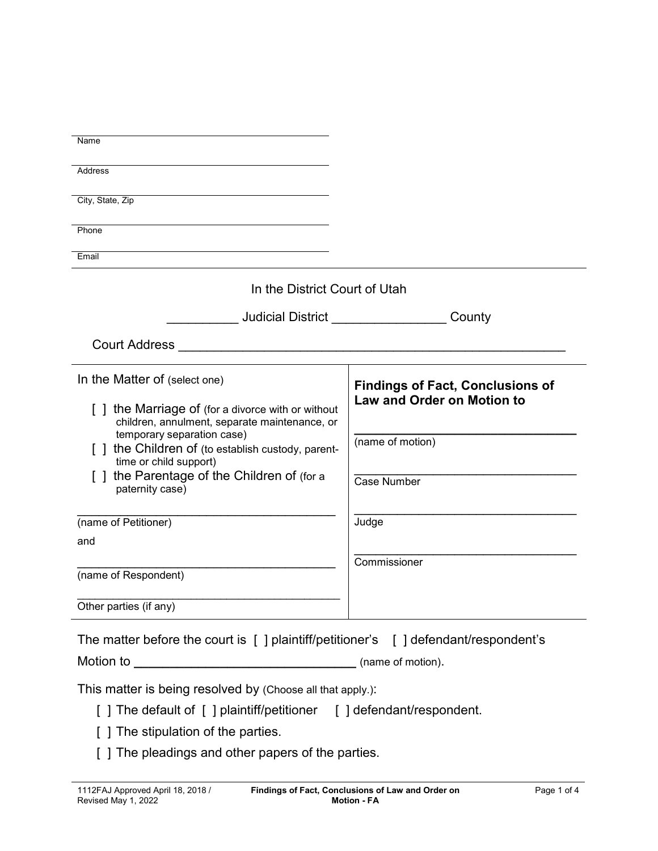| Name                                                                                               |                                         |
|----------------------------------------------------------------------------------------------------|-----------------------------------------|
| Address                                                                                            |                                         |
| City, State, Zip                                                                                   |                                         |
| Phone                                                                                              |                                         |
| Email                                                                                              |                                         |
| In the District Court of Utah                                                                      |                                         |
| Judicial District ________________                                                                 | County                                  |
| <b>Court Address</b>                                                                               |                                         |
| In the Matter of (select one)                                                                      | <b>Findings of Fact, Conclusions of</b> |
| [] the Marriage of (for a divorce with or without<br>children, annulment, separate maintenance, or | <b>Law and Order on Motion to</b>       |
| temporary separation case)<br>the Children of (to establish custody, parent-                       | (name of motion)                        |
| time or child support)<br>the Parentage of the Children of (for a<br>paternity case)               | <b>Case Number</b>                      |
| (name of Petitioner)                                                                               | Judge                                   |
| and                                                                                                |                                         |
| (name of Respondent)                                                                               | Commissioner                            |
| Other parties (if any)                                                                             |                                         |
| The matter before the court is [ ] plaintiff/petitioner's [ ] defendant/respondent's               |                                         |
|                                                                                                    |                                         |
| This matter is being resolved by (Choose all that apply.):                                         |                                         |
| [] The default of [] plaintiff/petitioner [] defendant/respondent.                                 |                                         |
| [] The stipulation of the parties.                                                                 |                                         |

[ ] The pleadings and other papers of the parties.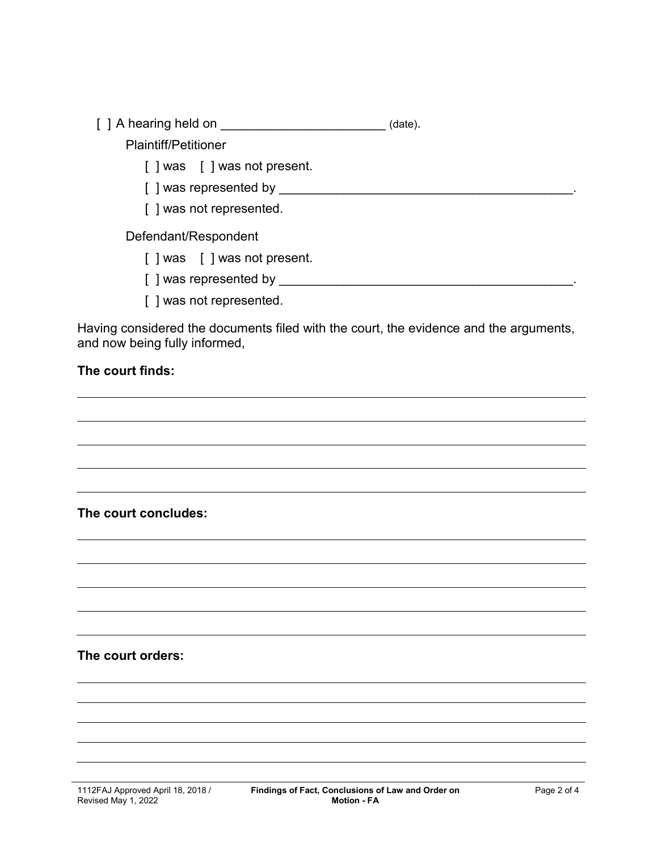[ ] A hearing held on \_\_\_\_\_\_\_\_\_\_\_\_\_\_\_\_\_\_\_\_\_\_\_\_\_\_\_(date).

Plaintiff/Petitioner

- [ ] was [ ] was not present.
- [ ] was represented by \_\_\_\_\_\_\_\_\_\_\_\_\_\_\_\_\_\_\_\_\_\_\_\_\_\_\_\_\_\_\_\_\_\_\_\_\_\_\_\_\_.
- [ ] was not represented.

Defendant/Respondent

- [ ] was [ ] was not present.
- [ ] was represented by \_\_\_\_\_\_\_\_\_\_\_\_\_\_\_\_\_\_\_\_\_\_\_\_\_\_\_\_\_\_\_\_\_\_\_\_\_\_\_\_\_.
- [ ] was not represented.

Having considered the documents filed with the court, the evidence and the arguments, and now being fully informed,

## **The court finds:**

## **The court concludes:**

## **The court orders:**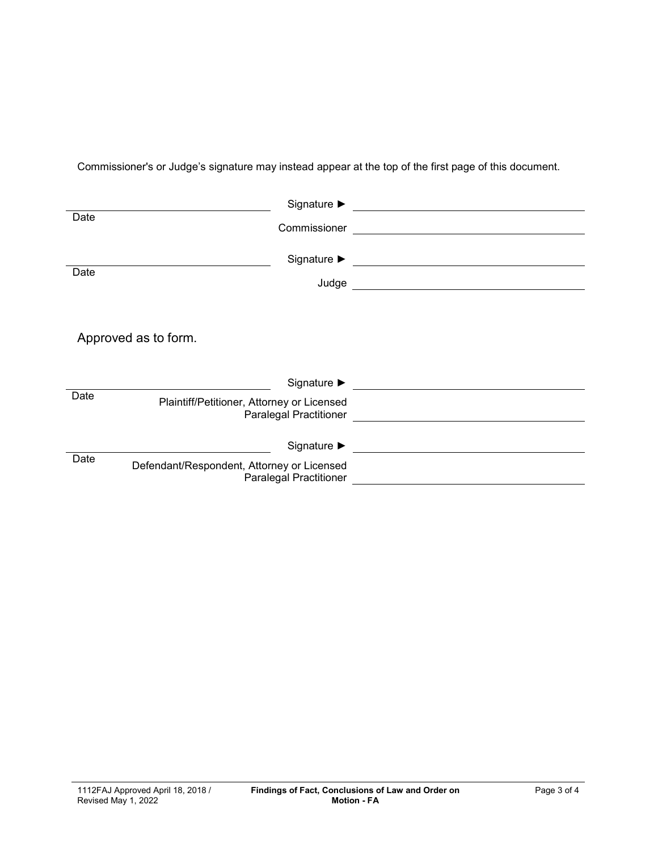Commissioner's or Judge's signature may instead appear at the top of the first page of this document.

|      | Signature ▶                                                                 |                                                                                                                       |
|------|-----------------------------------------------------------------------------|-----------------------------------------------------------------------------------------------------------------------|
| Date | Commissioner                                                                |                                                                                                                       |
| Date | Signature ▶<br>Judge                                                        | <u> 1989 - Johann Harry Barn, mars and de Branch and de Branch and de Branch and de Branch and de Branch and de B</u> |
|      | Approved as to form.                                                        |                                                                                                                       |
|      | Signature ▶                                                                 |                                                                                                                       |
| Date | Plaintiff/Petitioner, Attorney or Licensed<br>Paralegal Practitioner        |                                                                                                                       |
|      |                                                                             |                                                                                                                       |
|      | Signature ▶                                                                 |                                                                                                                       |
| Date | Defendant/Respondent, Attorney or Licensed<br><b>Paralegal Practitioner</b> |                                                                                                                       |